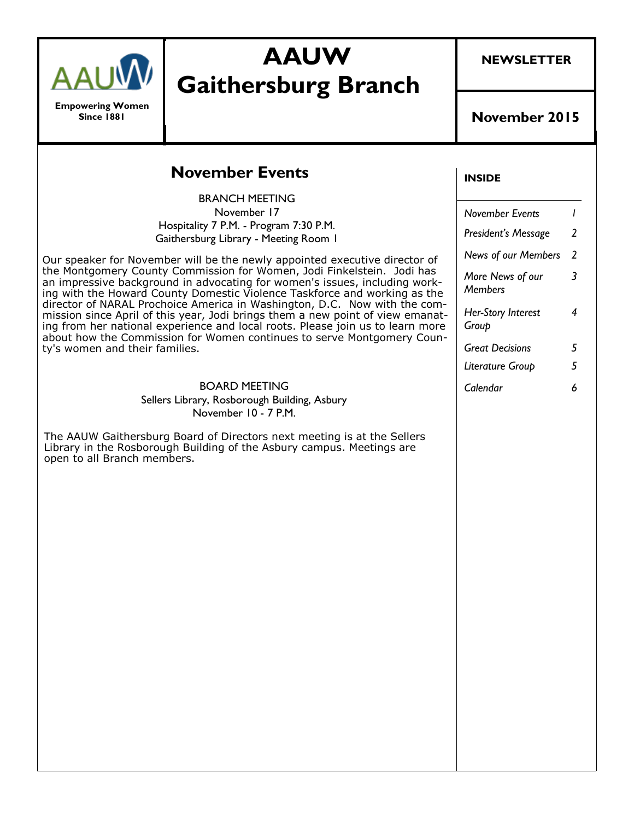

**Empowering Women Since 1881**

# **AAUW Gaithersburg Branch**

**NEWSLETTER**

#### **November 2015**

### **November Events**

BRANCH MEETING November 17 Hospitality 7 P.M. - Program 7:30 P.M. Gaithersburg Library - Meeting Room 1

Our speaker for November will be the newly appointed executive director of the Montgomery County Commission for Women, Jodi Finkelstein. Jodi has an impressive background in advocating for women's issues, including working with the Howard County Domestic Violence Taskforce and working as the director of NARAL Prochoice America in Washington, D.C. Now with the commission since April of this year, Jodi brings them a new point of view emanating from her national experience and local roots. Please join us to learn more about how the Commission for Women continues to serve Montgomery County's women and their families.

#### BOARD MEETING

Sellers Library, Rosborough Building, Asbury November 10 - 7 P.M.

The AAUW Gaithersburg Board of Directors next meeting is at the Sellers Library in the Rosborough Building of the Asbury campus. Meetings are open to all Branch members.

#### **INSIDE**

| <b>November Events</b>             |   |
|------------------------------------|---|
| President's Message                | 2 |
| <b>News of our Members</b>         | 2 |
| More News of our<br><b>Members</b> | 3 |
| Her-Story Interest<br>Group        | 4 |
| <b>Great Decisions</b>             | 5 |
| Literature Group                   | 5 |
| Calendar                           | Ь |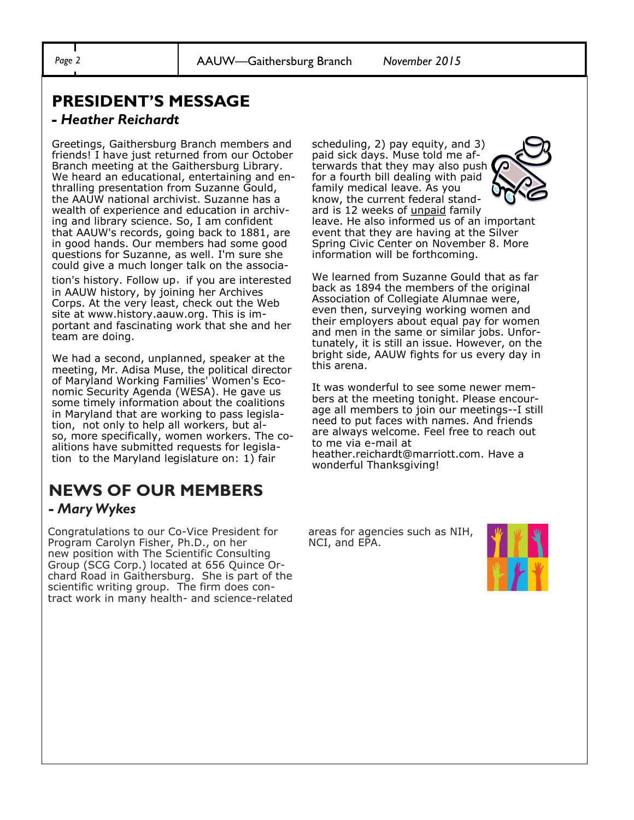*Page 2* AAUW—Gaithersburg Branch *November 2015*

# **PRESIDENT'S MESSAGE**

#### *- Heather Reichardt*

Greetings, Gaithersburg Branch members and friends! I have just returned from our October Branch meeting at the Gaithersburg Library. We heard an educational, entertaining and enthralling presentation from Suzanne Gould, the AAUW national archivist. Suzanne has a wealth of experience and education in archiving and library science. So, I am confident that AAUW's records, going back to 1881, are in good hands. Our members had some good questions for Suzanne, as well. I'm sure she could give a much longer talk on the association's history. Follow up, if you are interested in AAUW history, by joining her Archives Corps. At the very least, check out the Web site at www.history.aauw.org. This is important and fascinating work that she and her team are doing.

We had a second, unplanned, speaker at the meeting, Mr. Adisa Muse, the political director of Maryland Working Families' Women's Economic Security Agenda (WESA). He gave us some timely information about the coalitions in Maryland that are working to pass legislation, not only to help all workers, but also, more specifically, women workers. The coalitions have submitted requests for legislation to the Maryland legislature on: 1) fair

# **NEWS OF OUR MEMBERS**

### *- Mary Wykes*

Congratulations to our Co-Vice President for Program Carolyn Fisher, Ph.D., on her new position with The Scientific Consulting Group (SCG Corp.) located at 656 Quince Orchard Road in Gaithersburg. She is part of the scientific writing group. The firm does contract work in many health- and science-related

scheduling, 2) pay equity, and 3) paid sick days. Muse told me afterwards that they may also push for a fourth bill dealing with paid family medical leave. As you



know, the current federal standard is 12 weeks of *unpaid* family leave. He also informed us of an important event that they are having at the Silver Spring Civic Center on November 8. More information will be forthcoming.

We learned from Suzanne Gould that as far back as 1894 the members of the original Association of Collegiate Alumnae were, even then, surveying working women and their employers about equal pay for women and men in the same or similar jobs. Unfortunately, it is still an issue. However, on the bright side, AAUW fights for us every day in this arena.

It was wonderful to see some newer members at the meeting tonight. Please encourage all members to join our meetings--I still need to put faces with names. And friends are always welcome. Feel free to reach out to me via e-mail at

heather.reichardt@marriott.com. Have a wonderful Thanksgiving!

areas for agencies such as NIH, NCI, and EPA.

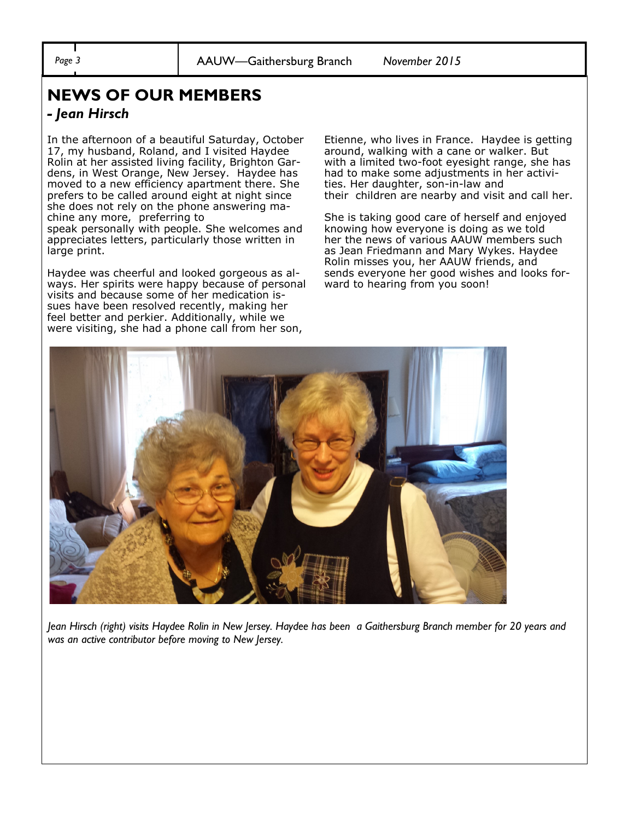*Page 3* AAUW—Gaithersburg Branch *November 2015*

### **NEWS OF OUR MEMBERS**

#### *- Jean Hirsch*

In the afternoon of a beautiful Saturday, October 17, my husband, Roland, and I visited Haydee Rolin at her assisted living facility, Brighton Gardens, in West Orange, New Jersey. Haydee has moved to a new efficiency apartment there. She prefers to be called around eight at night since she does not rely on the phone answering machine any more, preferring to speak personally with people. She welcomes and appreciates letters, particularly those written in large print.

Haydee was cheerful and looked gorgeous as always. Her spirits were happy because of personal visits and because some of her medication issues have been resolved recently, making her feel better and perkier. Additionally, while we were visiting, she had a phone call from her son,

Etienne, who lives in France. Haydee is getting around, walking with a cane or walker. But with a limited two-foot eyesight range, she has had to make some adjustments in her activities. Her daughter, son-in-law and their children are nearby and visit and call her.

She is taking good care of herself and enjoyed knowing how everyone is doing as we told her the news of various AAUW members such as Jean Friedmann and Mary Wykes. Haydee Rolin misses you, her AAUW friends, and sends everyone her good wishes and looks forward to hearing from you soon!



*Jean Hirsch (right) visits Haydee Rolin in New Jersey. Haydee has been a Gaithersburg Branch member for 20 years and was an active contributor before moving to New Jersey.*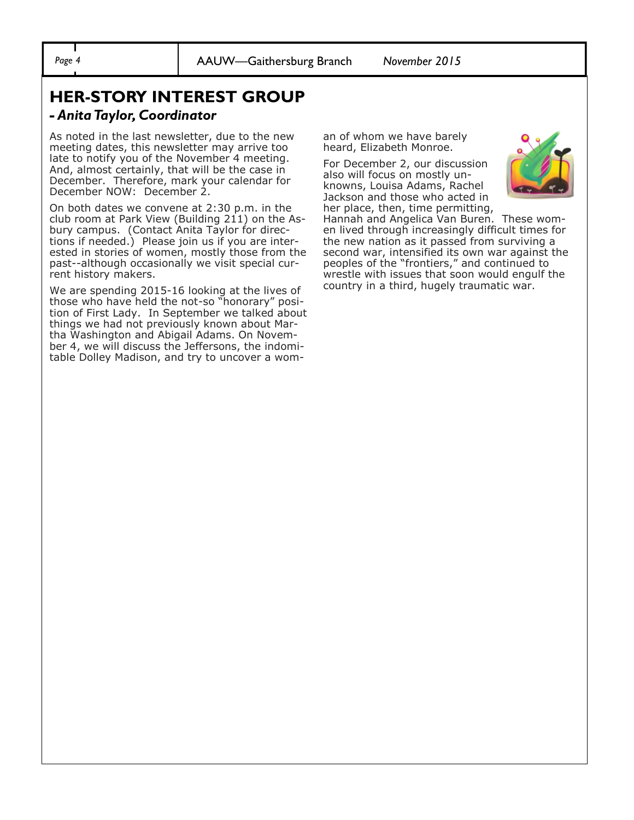# **HER-STORY INTEREST GROUP**

#### *- Anita Taylor, Coordinator*

As noted in the last newsletter, due to the new meeting dates, this newsletter may arrive too late to notify you of the November 4 meeting. And, almost certainly, that will be the case in December. Therefore, mark your calendar for December NOW: December 2.

On both dates we convene at 2:30 p.m. in the club room at Park View (Building 211) on the Asbury campus. (Contact Anita Taylor for directions if needed.) Please join us if you are interested in stories of women, mostly those from the past--although occasionally we visit special current history makers.

We are spending 2015-16 looking at the lives of those who have held the not-so "honorary" position of First Lady. In September we talked about things we had not previously known about Martha Washington and Abigail Adams. On November 4, we will discuss the Jeffersons, the indomitable Dolley Madison, and try to uncover a woman of whom we have barely heard, Elizabeth Monroe.

For December 2, our discussion also will focus on mostly unknowns, Louisa Adams, Rachel Jackson and those who acted in her place, then, time permitting,



Hannah and Angelica Van Buren. These women lived through increasingly difficult times for the new nation as it passed from surviving a second war, intensified its own war against the peoples of the "frontiers," and continued to wrestle with issues that soon would engulf the country in a third, hugely traumatic war.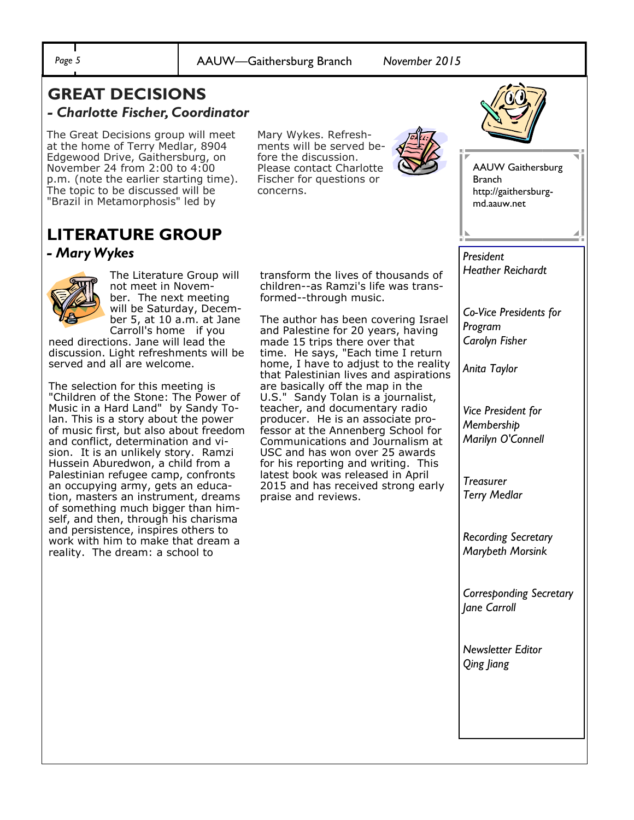*Page 5* AAUW—Gaithersburg Branch *November 2015*

### **GREAT DECISIONS**  *- Charlotte Fischer, Coordinator*

The Great Decisions group will meet at the home of Terry Medlar, 8904 Edgewood Drive, Gaithersburg, on November 24 from 2:00 to 4:00 p.m. (note the earlier starting time). The topic to be discussed will be "Brazil in Metamorphosis" led by

Mary Wykes. Refreshments will be served before the discussion. Please contact Charlotte Fischer for questions or concerns.



AAUW Gaithersburg Branch http://gaithersburgmd.aauw.net

### **LITERATURE GROUP** *- Mary Wykes*



The Literature Group will not meet in November. The next meeting will be Saturday, December 5, at 10 a.m. at Jane Carroll's home if you

need directions. Jane will lead the discussion. Light refreshments will be served and all are welcome.

The selection for this meeting is "Children of the Stone: The Power of Music in a Hard Land" by Sandy Tolan. This is a story about the power of music first, but also about freedom and conflict, determination and vision. It is an unlikely story. Ramzi Hussein Aburedwon, a child from a Palestinian refugee camp, confronts an occupying army, gets an education, masters an instrument, dreams of something much bigger than himself, and then, through his charisma and persistence, inspires others to work with him to make that dream a reality. The dream: a school to

transform the lives of thousands of children--as Ramzi's life was transformed--through music.

The author has been covering Israel and Palestine for 20 years, having made 15 trips there over that time. He says, "Each time I return home, I have to adjust to the reality that Palestinian lives and aspirations are basically off the map in the U.S." Sandy Tolan is a journalist, teacher, and documentary radio producer. He is an associate professor at the Annenberg School for Communications and Journalism at USC and has won over 25 awards for his reporting and writing. This latest book was released in April 2015 and has received strong early praise and reviews.

*President Heather Reichardt* 

*Co-Vice Presidents for Program Carolyn Fisher* 

*Anita Taylor*

*Vice President for Membership Marilyn O'Connell*

*Treasurer Terry Medlar* 

*Recording Secretary Marybeth Morsink* 

*Corresponding Secretary Jane Carroll* 

*Newsletter Editor Qing Jiang*